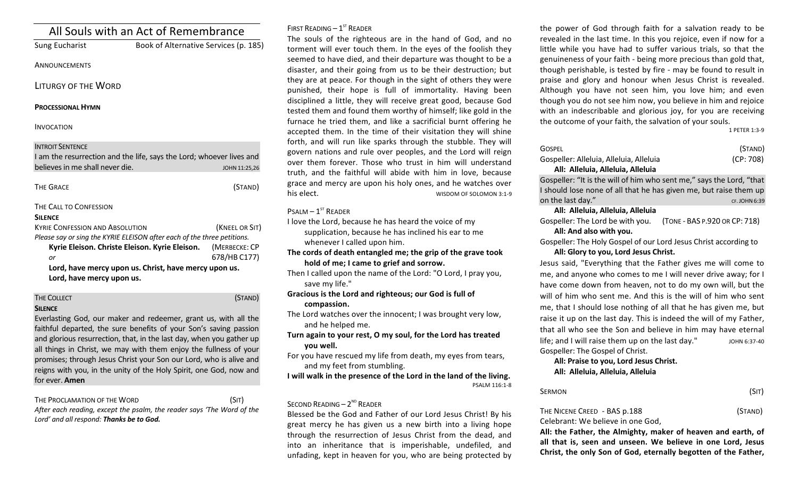| All Souls with an Act of Remembrance                                                                                                       |                                                                                       |  |  |
|--------------------------------------------------------------------------------------------------------------------------------------------|---------------------------------------------------------------------------------------|--|--|
| <b>Sung Eucharist</b>                                                                                                                      | Book of Alternative Services (p. 185)                                                 |  |  |
| ANNOUNCEMENTS                                                                                                                              |                                                                                       |  |  |
| LITURGY OF THE WORD                                                                                                                        |                                                                                       |  |  |
| <b>PROCESSIONAL HYMN</b>                                                                                                                   |                                                                                       |  |  |
| <b>INVOCATION</b>                                                                                                                          |                                                                                       |  |  |
| <b>INTROIT SENTENCE</b><br>believes in me shall never die.                                                                                 | I am the resurrection and the life, says the Lord; whoever lives and<br>JOHN 11:25,26 |  |  |
| <b>THE GRACE</b>                                                                                                                           | (STAND)                                                                               |  |  |
| THE CALL TO CONFESSION<br><b>SILENCE</b>                                                                                                   |                                                                                       |  |  |
| <b>KYRIE CONFESSION AND ABSOLUTION</b>                                                                                                     | (KNEEL OR SIT)                                                                        |  |  |
| Please say or sing the KYRIE ELEISON after each of the three petitions.<br>Kyrie Eleison. Christe Eleison. Kyrie Eleison.<br>(MERBECKE: CP |                                                                                       |  |  |
| $\alpha$ r                                                                                                                                 | 678/HB C177)                                                                          |  |  |
|                                                                                                                                            | Lord, have mercy upon us. Christ, have mercy upon us.                                 |  |  |
| Lord, have mercy upon us.                                                                                                                  |                                                                                       |  |  |

# THE COLLECT **THE COLLECT COLLECT COLLECT COLLECT COLLECT COLLECT COLLECT COLLECT COLLECT COLLECT**

## **SILENCE**

Everlasting God, our maker and redeemer, grant us, with all the faithful departed, the sure benefits of your Son's saving passion and glorious resurrection, that, in the last day, when you gather up all things in Christ, we may with them enjoy the fullness of your promises; through Jesus Christ your Son our Lord, who is alive and reigns with you, in the unity of the Holy Spirit, one God, now and for ever. **Amen** 

THE PROCLAMATION OF THE WORD (SIT)

After each reading, except the psalm, the reader says 'The Word of the Lord' and all respond: **Thanks be to God.** 

# FIRST READING  $-1<sup>st</sup>$  READER

The souls of the righteous are in the hand of God, and no torment will ever touch them. In the eyes of the foolish they seemed to have died, and their departure was thought to be a disaster, and their going from us to be their destruction; but they are at peace. For though in the sight of others they were punished, their hope is full of immortality. Having been disciplined a little, they will receive great good, because God tested them and found them worthy of himself; like gold in the furnace he tried them, and like a sacrificial burnt offering he accepted them. In the time of their visitation they will shine forth, and will run like sparks through the stubble. They will govern nations and rule over peoples, and the Lord will reign over them forever. Those who trust in him will understand truth, and the faithful will abide with him in love, because grace and mercy are upon his holy ones, and he watches over his elect. This elect.

# $P$ SALM –  $1^{ST}$  RFADER

I love the Lord, because he has heard the voice of my supplication, because he has inclined his ear to me whenever I called upon him.

- The cords of death entangled me; the grip of the grave took hold of me; I came to grief and sorrow.
- Then I called upon the name of the Lord: "O Lord, I pray you, save my life."
- Gracious is the Lord and righteous; our God is full of **compassion.**
- The Lord watches over the innocent; I was brought very low, and he helped me.

Turn again to your rest, O my soul, for the Lord has treated **you well.** 

For you have rescued my life from death, my eyes from tears, and my feet from stumbling.

**I** will walk in the presence of the Lord in the land of the living. PSALM 116:1-8

## SECOND READING  $- 2^{ND}$  READER

Blessed be the God and Father of our Lord Jesus Christ! By his great mercy he has given us a new birth into a living hope through the resurrection of Jesus Christ from the dead, and into an inheritance that is imperishable, undefiled, and unfading, kept in heaven for you, who are being protected by

the power of God through faith for a salvation ready to be revealed in the last time. In this you rejoice, even if now for a little while you have had to suffer various trials, so that the genuineness of your faith - being more precious than gold that, though perishable, is tested by fire - may be found to result in praise and glory and honour when Jesus Christ is revealed. Although you have not seen him, you love him; and even though you do not see him now, you believe in him and rejoice with an indescribable and glorious joy, for you are receiving the outcome of your faith, the salvation of your souls.

1 PETER 1:3-9

| GOSPEL                                                               | (STAND)                       |  |  |
|----------------------------------------------------------------------|-------------------------------|--|--|
| Gospeller: Alleluia, Alleluia, Alleluia                              | (CP: 708)                     |  |  |
| All: Alleluia, Alleluia, Alleluia                                    |                               |  |  |
| Gospeller: "It is the will of him who sent me," says the Lord, "that |                               |  |  |
| I should lose none of all that he has given me, but raise them up    |                               |  |  |
| on the last day."                                                    | CF. JOHN 6:39                 |  |  |
| All: Alleluia, Alleluia, Alleluia                                    |                               |  |  |
| Gospeller: The Lord be with you.                                     | (TONE - BAS P.920 OR CP: 718) |  |  |
| All: And also with you.                                              |                               |  |  |
| Gospeller: The Holy Gospel of our Lord Jesus Christ according to     |                               |  |  |
| All: Glory to you, Lord Jesus Christ.                                |                               |  |  |
| Jesus said, "Everything that the Father gives me will come to        |                               |  |  |
| me, and anyone who comes to me I will never drive away; for I        |                               |  |  |

have come down from heaven, not to do my own will, but the will of him who sent me. And this is the will of him who sent me, that I should lose nothing of all that he has given me, but raise it up on the last day. This is indeed the will of my Father, that all who see the Son and believe in him may have eternal life; and I will raise them up on the last day."  $10HN_6:37-40$ Gospeller: The Gospel of Christ.

# All: Praise to you, Lord Jesus Christ. **All: Alleluia, Alleluia, Alleluia**

 $\mathsf{SERMON}$  (SIT)

# THE NICENE CREED - BAS p.188 (STAND)

Celebrant: We believe in one God,

All: the Father, the Almighty, maker of heaven and earth, of all that is, seen and unseen. We believe in one Lord, Jesus **Christ, the only Son of God, eternally begotten of the Father,**